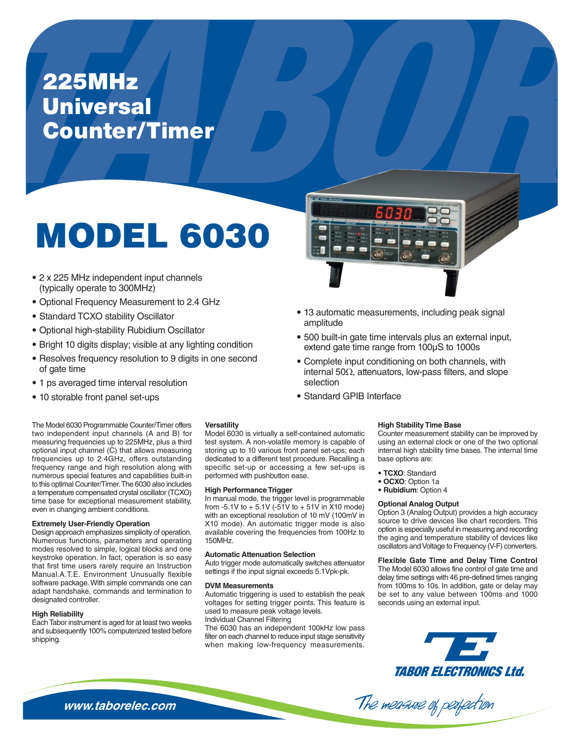## **225MHz Universal Counter/Timer**

# MODEL 6030

- 2 x 225 MHz independent input channels (typically operate to 300MHz)
- Optional Frequency Measurement to 2.4 GHz
- Standard TCXO stability Oscillator
- · Optional high-stability Rubidium Oscillator
- Bright 10 digits display; visible at any lighting condition
- Resolves frequency resolution to 9 digits in one second of gate time
- 1 ps averaged time interval resolution
- 10 storable front panel set-ups

The Model 6030 Programmable Counter/Timer offers two independent input channels (A and B) for measuring frequencies up to 225MHz, plus a third optional input channel (C) that allows measuring frequencies up to 2.4GHz, offers outstanding frequency range and high resolution along with numerous special features and capabilities built-in to this optimal Counter/Timer. The 6030 also includes a temperature compensated crystal oscillator (TCXO) time base for exceptional measurement stability, even in changing ambient conditions.

#### **Extremely User-Friendly Operation**

Design approach emphasizes simplicity of operation. Numerous functions, parameters and operating modes resolved to simple, logical blocks and one keystroke operation. In fact, operation is so easy that first time users rarely require an Instruction Manual.A.T.E. Environment Unusually flexible software package. With simple commands one can adapt handshake, commands and termination to designated controller.

#### **High Reliability**

Each Tabor instrument is aged for at least two weeks and subsequently 100% computerized tested before shipping.

#### **Versatility**

Model 6030 is virtually a self-contained automatic test system. A non-volatile memory is capable of storing up to 10 various front panel set-ups; each dedicated to a different test procedure. Recalling a specific set-up or accessing a few set-ups is performed with pushbutton ease.

#### **High Performance Trigger**

In manual mode, the trigger level is programmable from -5.1V to + 5.1V (-51V to + 51V in X10 mode) with an exceptional resolution of 10 mV (100mV in X10 mode). An automatic trigger mode is also available covering the frequencies from 100Hz to 150MHz.

#### **Automatic Attenuation Selection**

Auto trigger mode automatically switches attenuator settings if the input signal exceeds 5.1Vpk-pk.

#### **DVM Measurements**

Automatic triggering is used to establish the peak voltages for setting trigger points. This feature is used to measure peak voltage levels. Individual Channel Filtering

The 6030 has an independent 100kHz low pass filter on each channel to reduce input stage sensitivity when making low-frequency measurements.



- 13 automatic measurements, including peak signal amplitude
- 500 built-in gate time intervals plus an external input, extend gate time range from 100µS to 1000s
- Complete input conditioning on both channels, with internal  $50\Omega$ , attenuators, low-pass filters, and slope selection
- Standard GPIB Interface

#### **High Stability Time Base**

Counter measurement stability can be improved by using an external clock or one of the two optional internal high stability time bases. The internal time base options are:

- TCXO: Standard
- OCXO: Option 1a
- · Rubidium: Option 4

#### **Optional Analog Output**

The measure of perfection

Option 3 (Analog Output) provides a high accuracy source to drive devices like chart recorders. This option is especially useful in measuring and recording the aging and temperature stability of devices like oscillators and Voltage to Frequency (V-F) converters.

**Flexible Gate Time and Delay Time Control** The Model 6030 allows fine control of gate time and delay time settings with 46 pre-defined times ranging from 100ms to 10s. In addition, gate or delay may be set to any value between 100ms and 1000 seconds using an external input.

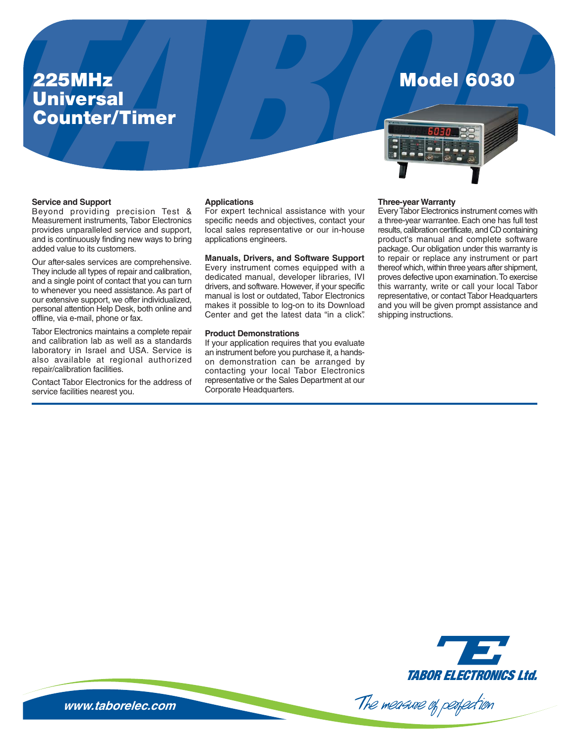## **225MHz Universal Counter/Timer**

## **Model 6030**



#### **Service and Support**

Beyond providing precision Test & Measurement instruments, Tabor Electronics provides unparalleled service and support, and is continuously finding new ways to bring added value to its customers.

Our after-sales services are comprehensive. They include all types of repair and calibration, and a single point of contact that you can turn to whenever you need assistance. As part of our extensive support, we offer individualized, personal attention Help Desk, both online and offline, via e-mail, phone or fax.

Tabor Electronics maintains a complete repair and calibration lab as well as a standards laboratory in Israel and USA. Service is also available at regional authorized repair/calibration facilities.

Contact Tabor Electronics for the address of service facilities nearest you.

#### **Applications**

For expert technical assistance with your specific needs and objectives, contact your local sales representative or our in-house applications engineers.

**Manuals, Drivers, and Software Support** Every instrument comes equipped with a dedicated manual, developer libraries, IVI drivers, and software. However, if your specific manual is lost or outdated, Tabor Electronics makes it possible to log-on to its Download Center and get the latest data "in a click".

#### **Product Demonstrations**

If your application requires that you evaluate an instrument before you purchase it, a handson demonstration can be arranged by contacting your local Tabor Electronics representative or the Sales Department at our Corporate Headquarters.

#### **Three-year Warranty**

Every Tabor Electronics instrument comes with a three-year warrantee. Each one has full test results, calibration certificate, and CD containing product's manual and complete software package. Our obligation under this warranty is to repair or replace any instrument or part thereof which, within three years after shipment, proves defective upon examination. To exercise this warranty, write or call your local Tabor representative, or contact Tabor Headquarters and you will be given prompt assistance and shipping instructions.



The measure of perfection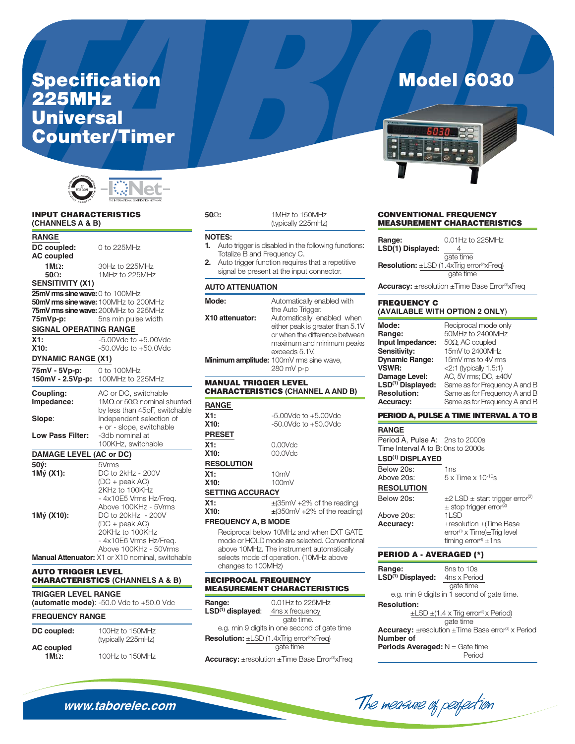## **Specification 225MHz Universal Counter/Timer**



#### **INPUT CHARACTERISTICS** (CHANNELS A & B)

**RANGE** 

DC coupled: 0 to 225MHz **AC** coupled  $1MO:$ 30Hz to 225MHz 50 $\Omega$ : 1MHz to 225MHz **SENSITIVITY (X1)** 25mV rms sine wave: 0 to 100MHz 50mV rms sine wave: 100MHz to 200MHz 75mV rms sine wave: 200MHz to 225MHz 75mVp-p: 5ns min pulse width **SIGNAL OPERATING RANGE**  $\overline{X1}$ :  $-5.00Vdc$  to  $+5.00Vdc$  $X10:$  $-50.0$ Vdc to  $+50.0$ Vdc **DYNAMIC RANGE (X1)** 75mV - 5Vp-p: 0 to 100MHz 150mV - 2.5Vp-p: 100MHz to 225MHz Coupling: AC or DC, switchable Impedance: 1M $\Omega$  or 50 $\Omega$  nominal shunted by less than 45pF, switchable Slope: Independent selection of + or - slope, switchable Low Pass Filter: -3db nominal at 100KHz, switchable **DAMAGE LEVEL (AC or DC)**  $50V:$ 5Vrms  $1M\acute{y}$  (X1): DC to 2kHz - 200V  $(DC + peak AC)$ 2KHz to 100KHz - 4x10E5 Vrms Hz/Freq. Above 100KHz - 5Vrms 1Mý (X10): DC to 20kHz - 200V  $(DC + peak AC)$ 20KHz to 100KHz - 4x10E6 Vrms Hz/Freq. Above 100KHz - 50Vrms Manual Attenuator: X1 or X10 nominal, switchable

#### **AUTO TRIGGER LEVEL CHARACTERISTICS (CHANNELS A & B)**

**TRIGGER LEVEL RANGE** (automatic mode):  $-50.0$  Vdc to  $+50.0$  Vdc

#### **FREQUENCY RANGE**

| DC coupled:               | 100Hz to 150MHz<br>(typically 225mHz) |
|---------------------------|---------------------------------------|
| <b>AC</b> coupled<br>1MO: | 100Hz to 150MHz                       |

| 1MHz to 150MHz     |
|--------------------|
| (typically 225mHz) |

#### **NOTES:**

 $50\Omega$ :

- Auto trigger is disabled in the following functions: 1. Totalize B and Frequency C.
- $2.$ Auto trigger function requires that a repetitive signal be present at the input connector.

#### $\mathbf{A}^{\dagger}$ -- --------------

| AU IO AI I ENUATION         |                                                                                                                                                                                  |
|-----------------------------|----------------------------------------------------------------------------------------------------------------------------------------------------------------------------------|
| Mode:                       | Automatically enabled with<br>the Auto Trigger.                                                                                                                                  |
| X10 attenuator:             | Automatically enabled when<br>either peak is greater than 5.1V<br>or when the difference between<br>maximum and minimum peaks<br>exceeds 5.1V.                                   |
|                             | Minimum amplitude: 100mV rms sine wave,<br>280 mV p-p                                                                                                                            |
| <b>MANUAL TRIGGER LEVEL</b> | <b>CHARACTERISTICS (CHANNEL A AND B)</b>                                                                                                                                         |
| <b>RANGE</b>                |                                                                                                                                                                                  |
| X1:                         | $-5.00Vdc$ to $+5.00Vdc$                                                                                                                                                         |
| X10:                        | $-50.0$ Vdc to $+50.0$ Vdc                                                                                                                                                       |
| <b>PRESET</b>               |                                                                                                                                                                                  |
| X1:                         | 0.00Vdc                                                                                                                                                                          |
| X10:                        | $00.0$ Vdc                                                                                                                                                                       |
| <b>RESOLUTION</b>           |                                                                                                                                                                                  |
| X1:                         | 10mV                                                                                                                                                                             |
| X10:                        | 100mV                                                                                                                                                                            |
| <b>SETTING ACCURACY</b>     |                                                                                                                                                                                  |
| X1:                         | $\pm$ (35mV +2% of the reading)                                                                                                                                                  |
| X10:                        | $\pm$ (350mV +2% of the reading)                                                                                                                                                 |
| <b>FREQUENCY A, B MODE</b>  |                                                                                                                                                                                  |
| changes to 100MHz)          | Reciprocal below 10MHz and when EXT GATE<br>mode or HOLD mode are selected. Conventional<br>above 10MHz. The instrument automatically<br>selects mode of operation. (10MHz above |
| <b>RECIPROCAL FREQUENCY</b> |                                                                                                                                                                                  |

### **MEASUREMENT CHARACTERISTICS**

| Range:                 | 0.01Hz to 225MHz                                                 |
|------------------------|------------------------------------------------------------------|
| $LSD^{(1)}$ displayed: | 4ns x frequency                                                  |
|                        | gate time.                                                       |
|                        | e.g. min 9 digits in one second of gate time                     |
|                        | <b>Resolution:</b> $\pm$ LSD (1.4xTrig error <sup>2</sup> xFreq) |
|                        | gate time                                                        |
|                        |                                                                  |

**Accuracy:** ±resolution ±Time Base Error®xFreq

## **Model 6030**



#### **CONVENTIONAL FREQUENCY MEASUREMENT CHARACTERISTICS**

| Range:<br>LSD(1) Displayed:                                 | 0.01Hz to 225MHz |
|-------------------------------------------------------------|------------------|
| <b>Resolution:</b> ±LSD (1.4xTrig error <sup>2</sup> xFreq) | gate time        |
|                                                             | gate time        |

**Accuracy:** ±resolution ±Time Base Error®xFreq

#### **FREQUENCY C** (AVAILABLE WITH OPTION 2 ONLY)

| Mode:                         | Reciprocal mode only          |
|-------------------------------|-------------------------------|
| Range:                        | 50MHz to 2400MHz              |
| Input Impedance:              | $50\Omega$ , AC coupled       |
| Sensitivity:                  | 15mV to 2400MHz               |
| <b>Dynamic Range:</b>         | 15mV rms to 4V rms            |
| VSWR:                         | $<$ 2:1 (typically 1.5:1)     |
| Damage Level:                 | AC, 5V rms; DC, $\pm$ 40V     |
| LSD <sup>(1)</sup> Displayed: | Same as for Frequency A and B |
| <b>Resolution:</b>            | Same as for Frequency A and B |
| <b>Accuracy:</b>              | Same as for Frequency A and B |

#### PERIOD A, PULSE A TIME INTERVAL A TO B

| <b>RANGE</b>                       |                                                      |
|------------------------------------|------------------------------------------------------|
| Period A, Pulse A: 2ns to 2000s    |                                                      |
| Time Interval A to B: Ons to 2000s |                                                      |
| LSD <sup>(1)</sup> DISPLAYED       |                                                      |
| Below 20s:                         | 1ns                                                  |
| Above 20s:                         | $5 \times$ Time $\times$ 10 <sup>-10</sup> s         |
| <b>RESOLUTION</b>                  |                                                      |
| Below 20s:                         | $\pm$ 2 LSD $\pm$ start trigger error <sup>(2)</sup> |
|                                    | $\pm$ stop trigger error <sup>(2)</sup>              |
| Above 20s:                         | $11$ SD                                              |
| <b>Accuracy:</b>                   | $\pm$ resolution $\pm$ (Time Base                    |
|                                    | error <sup>(3)</sup> x Time)±Trig level              |
|                                    | timing error <sup>(4)</sup> $\pm$ 1ns                |
| <b>PERIOD A - AVERAGED (*)</b>     |                                                      |

| Range:                        | 8ns to 10s                                                 |
|-------------------------------|------------------------------------------------------------|
| LSD <sup>(1)</sup> Displayed: | 4ns x Period                                               |
|                               | gate time                                                  |
|                               | e.g. min 9 digits in 1 second of gate time.                |
| <b>Resolution:</b>            |                                                            |
|                               | $\pm$ LSD $\pm$ (1.4 x Trig error <sup>(2)</sup> x Period) |

The measure of perfection

gate time **Accuracy:** ±resolution ±Time Base error® x Period Number of **Periods Averaged:**  $N =$  Gate time Period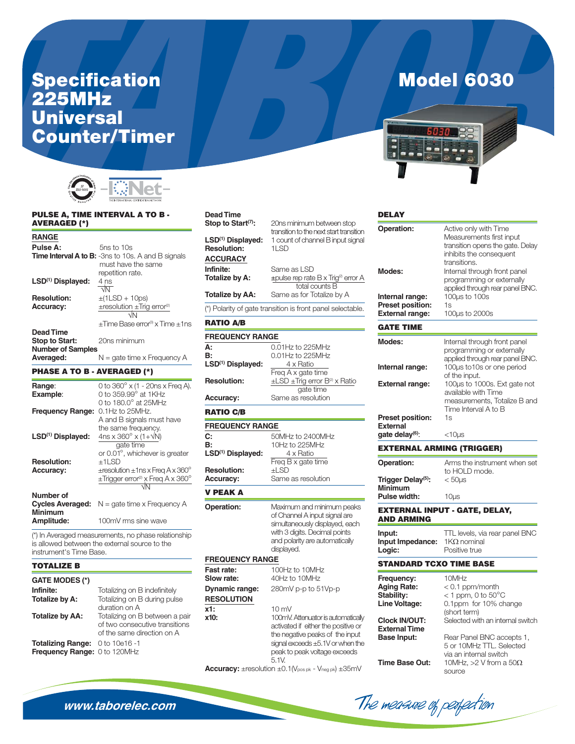# Specification<br>225MHz<br>Universal **Counter/Timer**



#### PULSE A, TIME INTERVAL A TO B -**AVERAGED (\*)**

| Pulse A:<br>$5ns$ to $10s$<br><b>Time Interval A to B:</b> -3ns to 10s. A and B signals<br>must have the same<br>repetition rate.<br>LSD <sup>(1)</sup> Displayed:<br>4 ns<br>ন⊼<br><b>Resolution:</b><br>$\pm$ (1LSD + 10ps)<br>$\pm$ resolution $\pm$ Trig error <sup>(2)</sup><br><b>Accuracy:</b><br>$\sqrt{N}$<br>+Time Base error® x Time +1ns<br>Dead Time<br>20ns minimum<br>Stop to Start:<br><b>Number of Samples</b><br>N = gate time x Frequency A<br>Averaged: | <b>RANGE</b> |  |
|-----------------------------------------------------------------------------------------------------------------------------------------------------------------------------------------------------------------------------------------------------------------------------------------------------------------------------------------------------------------------------------------------------------------------------------------------------------------------------|--------------|--|
|                                                                                                                                                                                                                                                                                                                                                                                                                                                                             |              |  |
|                                                                                                                                                                                                                                                                                                                                                                                                                                                                             |              |  |
|                                                                                                                                                                                                                                                                                                                                                                                                                                                                             |              |  |
|                                                                                                                                                                                                                                                                                                                                                                                                                                                                             |              |  |
|                                                                                                                                                                                                                                                                                                                                                                                                                                                                             |              |  |
|                                                                                                                                                                                                                                                                                                                                                                                                                                                                             |              |  |
|                                                                                                                                                                                                                                                                                                                                                                                                                                                                             |              |  |

#### **PHASE A TO B - AVERAGED (\*)**

| Range:                                    | 0 to $360^{\circ}$ x (1 - 20ns x Freq A).             |
|-------------------------------------------|-------------------------------------------------------|
| Example:                                  | 0 to 359.99° at 1KHz                                  |
|                                           | 0 to 180.0 $^{\circ}$ at 25MHz                        |
| <b>Frequency Range:</b>                   | $0.1$ Hz to $25$ MHz.                                 |
|                                           | A and B signals must have                             |
|                                           | the same frequency.                                   |
| LSD <sup>(1)</sup> Displayed:             | 4ns x $360^{\circ}$ x (1+ $\sqrt{N}$ )                |
|                                           | gate time                                             |
|                                           | or 0.01°, whichever is greater                        |
| <b>Resolution:</b>                        | $+1LSD$                                               |
| <b>Accuracy:</b>                          | $\pm$ resolution $\pm$ 1 ns x Freg A x 360 $^{\circ}$ |
|                                           | $\pm$ Trigger error <sup>(2)</sup> x Freq A x 360°    |
|                                           |                                                       |
| Number of                                 |                                                       |
| <b>Cycles Averaged:</b><br><b>Minimum</b> | $N =$ gate time x Frequency A                         |
| Amplitude:                                | 100mV rms sine wave                                   |
|                                           |                                                       |

(\*) In Averaged measurements, no phase relationship is allowed between the external source to the instrument's Time Base.

#### **TOTALIZE B**

#### **GATE MODES (\*)**

| Infinite:                       | Iotalizing on B indefinitely   |
|---------------------------------|--------------------------------|
| Totalize by A:                  | Totalizing on B during pulse   |
|                                 | duration on A                  |
| Totalize by AA:                 | Totalizing on B between a pair |
|                                 | of two consecutive transitions |
|                                 | of the same direction on A     |
| Totalizing Range: 0 to 10e16 -1 |                                |
| Frequency Range: 0 to 120MHz    |                                |
|                                 |                                |

#### **Dead Time** Stop to Start<sup>(7)</sup>:

| LSD <sup>(1)</sup> Displayed:<br><b>Resolution:</b> | transition to the next start transition<br>1 count of channel B input signal<br>$1$ LSD |
|-----------------------------------------------------|-----------------------------------------------------------------------------------------|
| <b>ACCURACY</b>                                     |                                                                                         |
| Infinite:                                           | Same as LSD                                                                             |
| Totalize by A:                                      | $\pm$ pulse rep rate B x Trig <sup>®</sup> error A                                      |
|                                                     | total counts B                                                                          |
| <b>Totalize by AA:</b>                              | Same as for Totalize by A                                                               |
|                                                     | (*) Polarity of gate transition is front panel selectable.                              |

20ns minimum between stop

#### **RATIO A/B**

x1:

| <b>FREQUENCY RANGE</b>                    |                                                                                                                                                                               |  |
|-------------------------------------------|-------------------------------------------------------------------------------------------------------------------------------------------------------------------------------|--|
| А.<br>B:<br>LSD <sup>(1)</sup> Displayed: | 0.01Hz to 225MHz<br>0.01Hz to 225MHz<br>4 x Ratio<br>Freq A x gate time                                                                                                       |  |
| <b>Resolution:</b>                        | $\pm$ LSD $\pm$ Trig error B <sup>(2)</sup> x Ratio<br>gate time                                                                                                              |  |
| <b>Accuracy:</b>                          | Same as resolution                                                                                                                                                            |  |
| <b>RATIO C/B</b>                          |                                                                                                                                                                               |  |
| <b>FREQUENCY RANGE</b>                    |                                                                                                                                                                               |  |
| C:<br>B:<br>LSD <sup>(1)</sup> Displayed: | 50MHz to 2400MHz<br>10Hz to 225MHz<br>4 x Ratio<br>Freg B x gate time                                                                                                         |  |
| <b>Resolution:</b><br><b>Accuracy:</b>    | $+$ l SD<br>Same as resolution                                                                                                                                                |  |
| V PEAK A                                  |                                                                                                                                                                               |  |
| Operation:                                | Maximum and minimum peaks<br>of Channel A input signal are<br>simultaneously displayed, each<br>with 3 digits. Decimal points<br>and polarity are automatically<br>displayed. |  |
| <b>FREQUENCY RANGE</b>                    |                                                                                                                                                                               |  |
| Fast rate:<br>Slow rate:                  | 100Hz to 10MHz<br>40Hz to 10MHz                                                                                                                                               |  |
| <b>Dynamic range:</b>                     | 280mV p-p to 51Vp-p                                                                                                                                                           |  |

## **RESOLUTION**  $10 \text{ mV}$ x10:

| 100mV. Attenuator is automatically  |
|-------------------------------------|
| activated if either the positive or |
| the negative peaks of the input     |
| signal exceeds ±5.1V or when the    |
| peak to peak voltage exceeds        |
| 5.1V                                |

Accuracy: ±resolution ±0.1(Vpos pk - Vneg pk) ±35mV

## **Model 6030**



| <b>DELAY</b>                                                    |                                                                                                                                  |
|-----------------------------------------------------------------|----------------------------------------------------------------------------------------------------------------------------------|
| <b>Operation:</b>                                               | Active only with Time<br>Measurements first input<br>transition opens the gate. Delay<br>inhibits the consequent<br>transitions. |
| Modes:                                                          | Internal through front panel<br>programming or externally<br>applied through rear panel BNC.                                     |
| Internal range:                                                 | 100µs to 100s<br>1s                                                                                                              |
| <b>Preset position:</b><br><b>External range:</b>               | 100µs to 2000s                                                                                                                   |
| <b>GATE TIME</b>                                                |                                                                                                                                  |
| Modes:                                                          | Internal through front panel<br>programming or externally<br>applied through rear panel BNC.                                     |
| Internal range:                                                 | 100µs to10s or one period                                                                                                        |
| <b>External range:</b>                                          | of the input.<br>100µs to 1000s. Ext gate not<br>available with Time                                                             |
|                                                                 | measurements, Totalize B and<br>Time Interval A to B                                                                             |
| <b>Preset position:</b><br><b>External</b>                      | 1s                                                                                                                               |
| gate delay <sup>(6)</sup> :                                     | <10µs                                                                                                                            |
| <b>EXTERNAL ARMING (TRIGGER)</b>                                |                                                                                                                                  |
| <b>Operation:</b>                                               | Arms the instrument when set<br>to HOLD mode.                                                                                    |
| Trigger Delay <sup>(5)</sup> :<br><b>Minimum</b>                | $< 50 \mu s$                                                                                                                     |
| Pulse width:                                                    | $10\mus$                                                                                                                         |
| <b>AND ARMING</b>                                               | <b>EXTERNAL INPUT - GATE, DELAY,</b>                                                                                             |
| Input:<br>Input Impedance:<br>Logic:                            | TTL levels, via rear panel BNC<br>$1K\Omega$ nominal<br>Positive true                                                            |
| <b>STANDARD TCXO TIME BASE</b>                                  |                                                                                                                                  |
| Frequency:<br><b>Aging Rate:</b><br>Stability:<br>Line Voltage: | 10MHz<br>$< 0.1$ ppm/month<br>< 1 ppm, 0 to $50^{\circ}$ C<br>0.1ppm for 10% change                                              |
| <b>Clock IN/OUT:</b>                                            | (short term)<br>Selected with an internal switch                                                                                 |
| <b>External Time</b><br><b>Base Input:</b>                      | Rear Panel BNC accepts 1,<br>5 or 10MHz TTL, Selected<br>via an internal switch                                                  |
| <b>Time Base Out:</b>                                           | 10MHz, >2 V from a $50\Omega$<br>SOI IMA                                                                                         |

The measure of peopection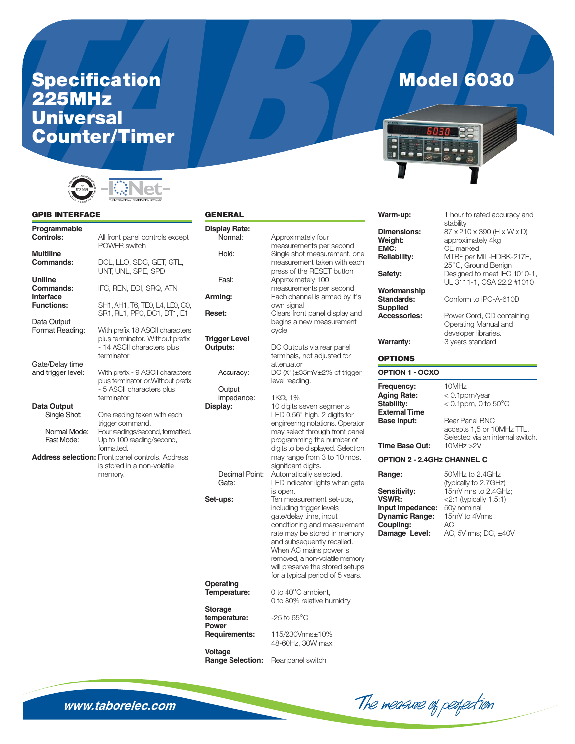# Specification<br>225MHz<br>Universal **Counter/Timer**



#### **GPIB INTERFACE**

### **GENE**

| <b>Multiline</b><br>DCL, LLO, SDC, GET, GTL,<br>Commands:<br>UNT, UNL, SPE, SPD<br>Uniline<br>IFC, REN, EOI, SRQ, ATN<br>Commands:<br>Interface<br><b>Functions:</b><br>SH1, AH1, T6, TE0, L4, LE0, C0,<br>SR1, RL1, PP0, DC1, DT1, E1<br>Data Output<br>Format Reading:<br>With prefix 18 ASCII characters<br>plus terminator. Without prefix<br>- 14 ASCII characters plus<br>terminator<br>Gate/Delay time<br>and trigger level:<br>With prefix - 9 ASCII characters<br>plus terminator or. Without prefix<br>- 5 ASCII characters plus<br>terminator<br>Data Output<br>Single Shot:<br>One reading taken with each<br>trigger command.<br>Four readings/second, formatted.<br>Normal Mode:<br>Fast Mode:<br>Up to 100 reading/second,<br>formatted.<br><b>Address selection:</b> Front panel controls. Address<br>is stored in a non-volatile<br>memory. | Programmable<br>Controls: | All front panel controls except<br>POWER switch |
|--------------------------------------------------------------------------------------------------------------------------------------------------------------------------------------------------------------------------------------------------------------------------------------------------------------------------------------------------------------------------------------------------------------------------------------------------------------------------------------------------------------------------------------------------------------------------------------------------------------------------------------------------------------------------------------------------------------------------------------------------------------------------------------------------------------------------------------------------------------|---------------------------|-------------------------------------------------|
|                                                                                                                                                                                                                                                                                                                                                                                                                                                                                                                                                                                                                                                                                                                                                                                                                                                              |                           |                                                 |
|                                                                                                                                                                                                                                                                                                                                                                                                                                                                                                                                                                                                                                                                                                                                                                                                                                                              |                           |                                                 |
|                                                                                                                                                                                                                                                                                                                                                                                                                                                                                                                                                                                                                                                                                                                                                                                                                                                              |                           |                                                 |
|                                                                                                                                                                                                                                                                                                                                                                                                                                                                                                                                                                                                                                                                                                                                                                                                                                                              |                           |                                                 |
|                                                                                                                                                                                                                                                                                                                                                                                                                                                                                                                                                                                                                                                                                                                                                                                                                                                              |                           |                                                 |
|                                                                                                                                                                                                                                                                                                                                                                                                                                                                                                                                                                                                                                                                                                                                                                                                                                                              |                           |                                                 |
|                                                                                                                                                                                                                                                                                                                                                                                                                                                                                                                                                                                                                                                                                                                                                                                                                                                              |                           |                                                 |
|                                                                                                                                                                                                                                                                                                                                                                                                                                                                                                                                                                                                                                                                                                                                                                                                                                                              |                           |                                                 |
|                                                                                                                                                                                                                                                                                                                                                                                                                                                                                                                                                                                                                                                                                                                                                                                                                                                              |                           |                                                 |

| GENERAL                 |                                                          |
|-------------------------|----------------------------------------------------------|
| <b>Display Rate:</b>    |                                                          |
| Normal:                 | Approximately four                                       |
|                         | measurements per second                                  |
| Hold:                   | Single shot measurement, one                             |
|                         | measurement taken with each                              |
|                         | press of the RESET button                                |
| Fast:                   | Approximately 100                                        |
|                         | measurements per second                                  |
| Arming:                 | Each channel is armed by it's                            |
|                         | own signal                                               |
| Reset:                  | Clears front panel display and                           |
|                         | begins a new measurement                                 |
|                         | cycle                                                    |
| <b>Trigger Level</b>    |                                                          |
| Outputs:                |                                                          |
|                         | DC Outputs via rear panel<br>terminals, not adjusted for |
|                         | attenuator                                               |
|                         |                                                          |
| Accuracy:               | DC (X1)±35mV±2% of trigger                               |
|                         | level reading.                                           |
| Output                  |                                                          |
| impedance:              | $1K\Omega$ , $1\%$                                       |
| Display:                | 10 digits seven segments                                 |
|                         | LED 0.56" high. 2 digits for                             |
|                         | engineering notations. Operator                          |
|                         | may select through front panel                           |
|                         | programming the number of                                |
|                         | digits to be displayed. Selection                        |
|                         | may range from 3 to 10 most                              |
|                         | significant digits.                                      |
| Decimal Point:          | Automatically selected.                                  |
| Gate:                   | LED indicator lights when gate                           |
|                         | is open.                                                 |
| Set-ups:                | Ten measurement set-ups,                                 |
|                         | including trigger levels                                 |
|                         | gate/delay time, input                                   |
|                         | conditioning and measurement                             |
|                         | rate may be stored in memory                             |
|                         | and subsequently recalled.                               |
|                         | When AC mains power is                                   |
|                         | removed, a non-volatile memory                           |
|                         | will preserve the stored setups                          |
|                         | for a typical period of 5 years.                         |
| Operating               |                                                          |
| Temperature:            | 0 to 40°C ambient,                                       |
|                         | 0 to 80% relative humidity                               |
| <b>Storage</b>          |                                                          |
| temperature:            | $-25$ to $65^{\circ}$ C                                  |
| Power                   |                                                          |
| Requirements:           | 115/230Vrms±10%                                          |
|                         | 48-60Hz, 30W max                                         |
| <b>Voltage</b>          |                                                          |
| <b>Range Selection:</b> | Rear panel switch                                        |
|                         |                                                          |
|                         |                                                          |



**Model 6030** 

|                         | Warm-up:                                                               | 1 hour to rated accuracy and<br>stability                                              |
|-------------------------|------------------------------------------------------------------------|----------------------------------------------------------------------------------------|
| k                       | <b>Dimensions:</b><br>Weight:<br>EMC:                                  | 87 x 210 x 390 (H x W x D)<br>approximately 4kg<br>CE marked                           |
| one<br>ach              | <b>Reliability:</b>                                                    | MTBF per MIL-HDBK-217E,<br>25°C, Ground Benign                                         |
| ï                       | Safety:                                                                | Designed to meet IEC 1010-1,<br>UL 3111-1, CSA 22.2 #1010                              |
| J<br>it's               | Workmanship<br><b>Standards:</b><br><b>Supplied</b>                    | Conform to IPC-A-610D                                                                  |
| and<br>ht               | <b>Accessories:</b>                                                    | Power Cord, CD containing<br>Operating Manual and<br>developer libraries.              |
|                         | <b>Warranty:</b>                                                       | 3 years standard                                                                       |
|                         | <b>OPTIONS</b>                                                         |                                                                                        |
| ger                     | <b>OPTION 1 - OCXO</b>                                                 |                                                                                        |
|                         | Frequency:<br><b>Aging Rate:</b><br>Stability:<br><b>External Time</b> | 10MHz<br>< 0.1ppm/year<br>$<$ 0.1ppm, 0 to 50 $^{\circ}$ C                             |
| r<br>ator<br>anel<br>of | <b>Base Input:</b>                                                     | <b>Rear Panel BNC</b><br>accepts 1,5 or 10MHz TTL.<br>Selected via an internal switch. |
| ction                   | Time Base Out:                                                         | 10MHz > 2V                                                                             |
| ost                     | <b>OPTION 2 - 2.4GHz CHANNEL C</b>                                     |                                                                                        |
| gate                    | Range:                                                                 | 50MHz to 2.4GHz<br>(typically to 2.7GHz)                                               |
| ,                       | Sensitivity:<br><b>VSWR:</b><br>Input Impedance:                       | 15mV rms to 2.4GHz;<br><2:1 (typically 1.5:1)<br>50ý nominal                           |
| nent                    | <b>Dynamic Range:</b><br>Coupling:                                     | 15mV to 4Vrms<br>AC                                                                    |
| hory                    | Damage Level:                                                          | AC, 5V rms; DC, ±40V                                                                   |
| nory<br>tups<br>are     |                                                                        |                                                                                        |

The measure of perfection